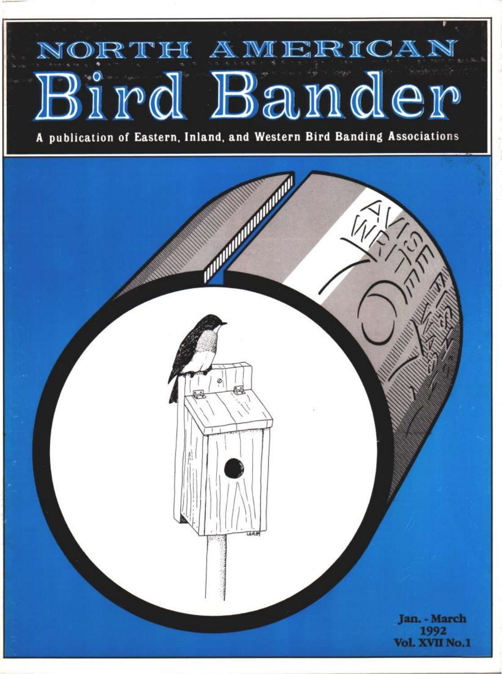